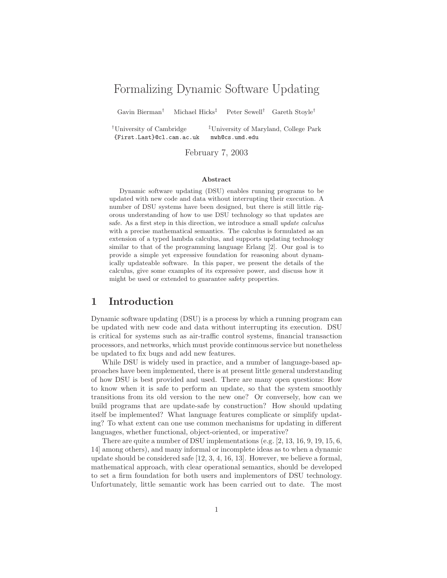# Formalizing Dynamic Software Updating

Gavin Bierman† Michael Hicks‡ Peter Sewell† Gareth Stoyle†

{First.Last}@cl.cam.ac.uk mwh@cs.umd.edu

†University of Cambridge ‡University of Maryland, College Park

February 7, 2003

#### **Abstract**

Dynamic software updating (DSU) enables running programs to be updated with new code and data without interrupting their execution. A number of DSU systems have been designed, but there is still little rigorous understanding of how to use DSU technology so that updates are safe. As a first step in this direction, we introduce a small *update calculus* with a precise mathematical semantics. The calculus is formulated as an extension of a typed lambda calculus, and supports updating technology similar to that of the programming language Erlang [2]. Our goal is to provide a simple yet expressive foundation for reasoning about dynamically updateable software. In this paper, we present the details of the calculus, give some examples of its expressive power, and discuss how it might be used or extended to guarantee safety properties.

### **1 Introduction**

Dynamic software updating (DSU) is a process by which a running program can be updated with new code and data without interrupting its execution. DSU is critical for systems such as air-traffic control systems, financial transaction processors, and networks, which must provide continuous service but nonetheless be updated to fix bugs and add new features.

While DSU is widely used in practice, and a number of language-based approaches have been implemented, there is at present little general understanding of how DSU is best provided and used. There are many open questions: How to know when it is safe to perform an update, so that the system smoothly transitions from its old version to the new one? Or conversely, how can we build programs that are update-safe by construction? How should updating itself be implemented? What language features complicate or simplify updating? To what extent can one use common mechanisms for updating in different languages, whether functional, object-oriented, or imperative?

There are quite a number of DSU implementations (e.g. [2, 13, 16, 9, 19, 15, 6, 14] among others), and many informal or incomplete ideas as to when a dynamic update should be considered safe [12, 3, 4, 16, 13]. However, we believe a formal, mathematical approach, with clear operational semantics, should be developed to set a firm foundation for both users and implementors of DSU technology. Unfortunately, little semantic work has been carried out to date. The most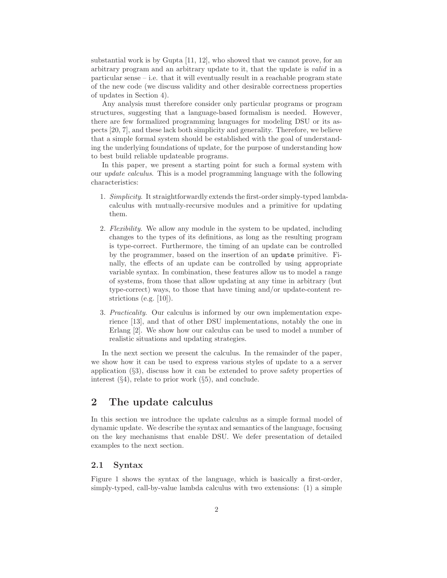substantial work is by Gupta [11, 12], who showed that we cannot prove, for an arbitrary program and an arbitrary update to it, that the update is *valid* in a  $particular sense - i.e. that it will eventually result in a reachable program state$ of the new code (we discuss validity and other desirable correctness properties of updates in Section 4).

Any analysis must therefore consider only particular programs or program structures, suggesting that a language-based formalism is needed. However, there are few formalized programming languages for modeling DSU or its aspects [20, 7], and these lack both simplicity and generality. Therefore, we believe that a simple formal system should be established with the goal of understanding the underlying foundations of update, for the purpose of understanding how to best build reliable updateable programs.

In this paper, we present a starting point for such a formal system with our *update calculus*. This is a model programming language with the following characteristics:

- 1. *Simplicity*. It straightforwardly extends the first-order simply-typed lambdacalculus with mutually-recursive modules and a primitive for updating them.
- 2. *Flexibility*. We allow any module in the system to be updated, including changes to the types of its definitions, as long as the resulting program is type-correct. Furthermore, the timing of an update can be controlled by the programmer, based on the insertion of an update primitive. Finally, the effects of an update can be controlled by using appropriate variable syntax. In combination, these features allow us to model a range of systems, from those that allow updating at any time in arbitrary (but type-correct) ways, to those that have timing and/or update-content restrictions (e.g. [10]).
- 3. *Practicality*. Our calculus is informed by our own implementation experience [13], and that of other DSU implementations, notably the one in Erlang [2]. We show how our calculus can be used to model a number of realistic situations and updating strategies.

In the next section we present the calculus. In the remainder of the paper, we show how it can be used to express various styles of update to a a server application (§3), discuss how it can be extended to prove safety properties of interest  $(\S4)$ , relate to prior work  $(\S5)$ , and conclude.

### **2 The update calculus**

In this section we introduce the update calculus as a simple formal model of dynamic update. We describe the syntax and semantics of the language, focusing on the key mechanisms that enable DSU. We defer presentation of detailed examples to the next section.

#### **2.1 Syntax**

Figure 1 shows the syntax of the language, which is basically a first-order, simply-typed, call-by-value lambda calculus with two extensions: (1) a simple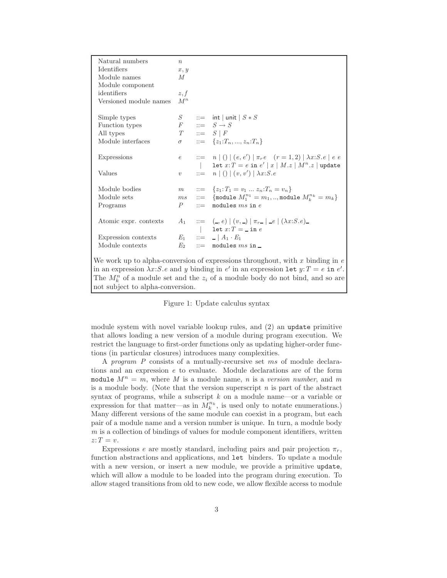| Natural numbers<br>Identifiers<br>Module names<br>Module component<br>identifiers<br>Versioned module names                                                                                                                                                                                               | $\boldsymbol{n}$<br>x, y<br>М<br>z, f<br>$M^n$ |              |                                                                                                                                                                                 |
|-----------------------------------------------------------------------------------------------------------------------------------------------------------------------------------------------------------------------------------------------------------------------------------------------------------|------------------------------------------------|--------------|---------------------------------------------------------------------------------------------------------------------------------------------------------------------------------|
| Simple types<br>Function types<br>All types<br>Module interfaces                                                                                                                                                                                                                                          | S                                              |              | $ ::= \int \mathsf{int}   \mathsf{unit}   S * S  $<br>$F$ ::= $S \rightarrow S$<br>$T \quad ::= \quad S \mid F$<br>$\sigma$ ::= $\{z_1: T_n, , z_n: T_n\}$                      |
| <b>Expressions</b><br>Values                                                                                                                                                                                                                                                                              | $\upsilon$                                     |              | e ::= $n   ()   (e, e')   \pi_r e \rvert (r = 1, 2)   \lambda x : S.e   e e$<br>  let $x:T = e$ in $e'   x   M.z   M^n.z  $ update<br>$ ::= n   ()   (v, v')   \lambda x : S.e$ |
| Module bodies<br>Module sets<br>Programs                                                                                                                                                                                                                                                                  | P                                              | $\mathbf{m}$ | $m$ ::= $\{z_1: T_1 = v_1  z_n: T_n = v_n\}$<br>$ms$ ::= {module $M_1^{n_1} = m_1,$ , module $M_k^{n_k} = m_k$ }<br>modules $ms$ in $e$                                         |
| Atomic expr. contexts<br>Expression contexts<br>Module contexts                                                                                                                                                                                                                                           | $E_2$                                          |              | $A_1$ ::= $(-, e)   (v, )   \pi_{r}   = e   (\lambda x : S e)$<br>1 let $x:T = \text{in } e$<br>$E_1$ ::= $ A_1 \cdot E_1 $<br>$ ::=$ modules $ms$ in $\Box$                    |
| We work up to alpha-conversion of expressions throughout, with x binding in $e$<br>in an expression $\lambda x: S.e$ and y binding in e' in an expression let $y: T = e$ in e'.<br>The $M_k^n$ of a module set and the $z_i$ of a module body do not bind, and so are<br>not subject to alpha-conversion. |                                                |              |                                                                                                                                                                                 |

Figure 1: Update calculus syntax

module system with novel variable lookup rules, and (2) an update primitive that allows loading a new version of a module during program execution. We restrict the language to first-order functions only as updating higher-order functions (in particular closures) introduces many complexities.

<sup>A</sup> *program P* consists of a mutually-recursive set ms of module declarations and an expression *e* to evaluate. Module declarations are of the form module  $M^n = m$ , where M is a module name, n is a version number, and m is a module body. (Note that the version superscript *n* is part of the abstract syntax of programs, while a subscript *k* on a module name—or a variable or expression for that matter—as in  $M_k^{n_k}$ , is used only to notate enumerations.)<br>Many different versions of the same module can coexist in a program, but each Many different versions of the same module can coexist in a program, but each pair of a module name and a version number is unique. In turn, a module body *m* is a collection of bindings of values for module component identifiers, written  $z: T = v.$ 

Expressions *e* are mostly standard, including pairs and pair projection  $\pi_r$ , function abstractions and applications, and let binders. To update a module with a new version, or insert a new module, we provide a primitive update, which will allow a module to be loaded into the program during execution. To allow staged transitions from old to new code, we allow flexible access to module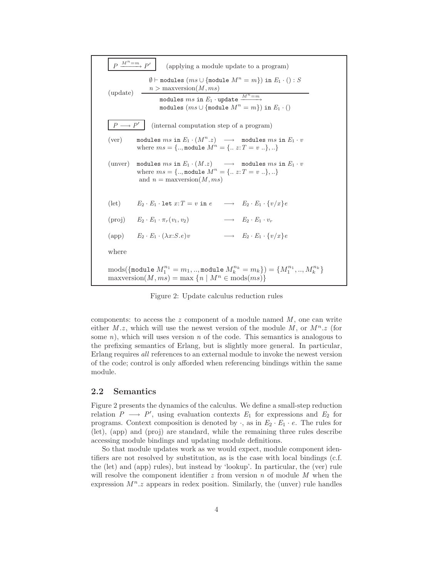$P \xrightarrow{M^n = m} P'$  (applying a module update to a program) (update)  $\emptyset$   $\vdash$  modules (*ms* ∪ {module  $M^n = m$ }) in  $E_1 \cdot () : S$  $n >$  maxversion $(M, ms)$ modules  $ms$  in  $E_1$  · update  $\xrightarrow{M^n=m}$ modules (ms ∪ {module M*<sup>n</sup>* = *m*}) in *E*<sup>1</sup> · ()  $P \longrightarrow P'$  (internal computation step of a program) (ver) modules  $ms$  in  $E_1 \cdot (M^n \cdot z) \longrightarrow$  modules  $ms$  in  $E_1 \cdot v$ where  $ms = \{.., \text{module } M^n = \{.. z : T = v ..\}, ...\}$ (unver) modules  $ms$  in  $E_1 \cdot (M.z) \longrightarrow$  modules  $ms$  in  $E_1 \cdot v$ where  $ms = \{.., \text{module } M^n = \{.. z : T = v ..\}, ...\}$ and  $n =$  maxversion $(M, ms)$ (let)  $E_2 \cdot E_1 \cdot \text{let } x: T = v \text{ in } e \longrightarrow E_2 \cdot E_1 \cdot \{v/x\}e$ (proj)  $E_2 \cdot E_1 \cdot \pi_r(v_1, v_2) \longrightarrow E_2 \cdot E_1 \cdot v_r$ (app)  $E_2 \cdot E_1 \cdot (\lambda x : S \cdot e)v \longrightarrow E_2 \cdot E_1 \cdot \{v/x\}e$ where  $\text{mods}(\{\text{module } M_1^{n_1} = m_1, \dots, \text{module } M_k^{n_k} = m_k\}) = \{M_1^{n_1}, \dots, M_k^{n_k}\}$ <br>  $\text{maxversion}(M, m_s) = \text{max} \{n \mid M^n \in \text{mode}(m_s)\}$  $maxversion(M, ms) = max\{n \mid M^n \in mods(ms)\}\$ 

Figure 2: Update calculus reduction rules

components: to access the *z* component of a module named *M* , one can write either  $M.z$ , which will use the newest version of the module  $M$ , or  $M^n.z$  (for some *n*), which will uses version *n* of the code. This semantics is analogous to the prefixing semantics of Erlang, but is slightly more general. In particular, Erlang requires *all* references to an external module to invoke the newest version of the code; control is only afforded when referencing bindings within the same module.

#### **2.2 Semantics**

Figure 2 presents the dynamics of the calculus. We define a small-step reduction relation  $P \longrightarrow P'$ , using evaluation contexts  $E_1$  for expressions and  $E_2$  for programs. Context composition is denoted by  $\cdot$ , as in  $E_2 \cdot E_1 \cdot e$ . The rules for (let), (app) and (proj) are standard, while the remaining three rules describe accessing module bindings and updating module definitions.

So that module updates work as we would expect, module component identifiers are not resolved by substitution, as is the case with local bindings (c.f. the (let) and (app) rules), but instead by 'lookup'. In particular, the (ver) rule will resolve the component identifier *z* from version *n* of module *M* when the expression  $M^n$ .*z* appears in redex position. Similarly, the (unver) rule handles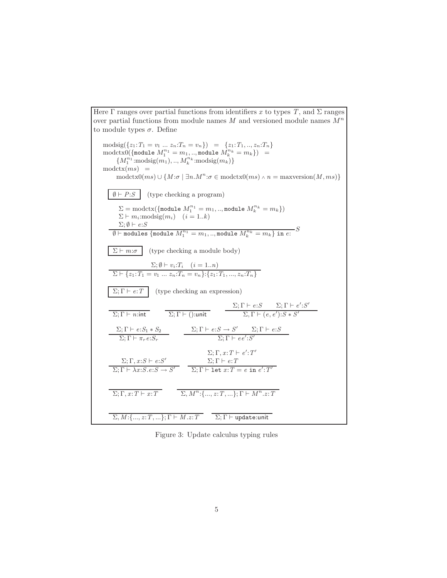Here  $\Gamma$  ranges over partial functions from identifiers x to types  $T$ , and  $\Sigma$  ranges over partial functions from module names *<sup>M</sup>* and versioned module names M*<sup>n</sup>* to module types  $\sigma$ . Define  $\text{modsig}(\{z_1: T_1 = v_1 \dots z_n: T_n = v_n\}) = \{z_1: T_1, ..., z_n: T_n\}$  $\text{modctx0}(\{\text{module } M_1^{n_1} = m_1, .., \text{module } M_k^{n_k} = m_k\}) =$  ${M_1^{n_1}:\text{modsig}(m_1), ..., M_k^{n_k}:\text{modsig}(m_k)}$  $modctx(ms) =$  $\text{modctx0}(ms) \cup \{M:\sigma \mid \exists n.M^n : \sigma \in \text{modctx0}(ms) \land n = \text{maxversion}(M, ms)\}\$  $\emptyset \vdash P : S$  (type checking a program)  $\Sigma = \text{modctx}(\{\text{module } M_1^{n_1} = m_1, .., \text{module } M_k^{n_k} = m_k\})$  $\Sigma \vdash m_i:\text{modsig}(m_i) \quad (i=1..k)$  $\Sigma$ ;  $\emptyset \vdash e$ :*S*  $\overline{\emptyset}$   $\vdash$  modules  $\{\text{module } M_1^{n_1} = m_1,..,\text{module } M_k^{n_k} = m_k\}$  in  $e\colon S$  $\Sigma \vdash m:\sigma$  (type checking a module body)  $\Sigma; \emptyset \vdash v_i : T_i \quad (i = 1..n)$  $\Sigma \vdash \{z_1: T_1 = v_1 \ldots z_n: T_n = v_n\} : \{z_1: T_1, \ldots, z_n: T_n\}$  $\Sigma; \Gamma \vdash e:T$  (type checking an expression)  $\Sigma; \Gamma \vdash n:\mathsf{int}$   $\Sigma; \Gamma \vdash ():\mathsf{unit}$  $\Sigma; \Gamma \vdash e : S$   $\Sigma; \Gamma \vdash e' : S'$  $\Sigma, \Gamma \vdash (e, e')$ : $S * S'$  $Σ; Γ ⊢ *e*: S<sub>1</sub> * S<sub>2</sub>$  $\Sigma; \Gamma \vdash \pi_r e : S_r$  $\Sigma; \Gamma \vdash e : S \to S'$   $\Sigma; \Gamma \vdash e : S$  $\Sigma; \Gamma \vdash ee' : S'$  $Σ; Γ, x: S ⊢ e: S'$  $\Sigma; \Gamma \vdash \lambda x \colon S.e \colon S \to S'$  $\Sigma; \Gamma, x: T \vdash e' : T'$ Σ; Γ *e*:*T*  $\Sigma; \Gamma \vdash \mathtt{let}\ x{:}T = e\ \mathtt{in}\ e'{:}T'$  $\Sigma; \Gamma, x: T \vdash x: T$   $\Sigma, M^n: \{..., z: T, ...\}; \Gamma \vdash M^n. z: T$  $\Sigma, M:\{\ldots,z:T,\ldots\}; \Gamma \vdash M.z:T$   $\Sigma; \Gamma \vdash \text{update:unit}$ 

Figure 3: Update calculus typing rules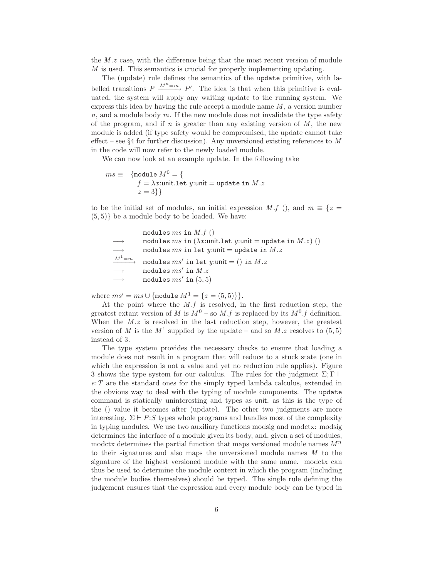the *<sup>M</sup>* .*<sup>z</sup>* case, with the difference being that the most recent version of module *M* is used. This semantics is crucial for properly implementing updating.

The (update) rule defines the semantics of the update primitive, with labelled transitions  $P \xrightarrow{M^n=m} P'$ . The idea is that when this primitive is evaluated, the system will apply any waiting update to the running system. We express this idea by having the rule accept a module name *M* , a version number *n*, and a module body *m*. If the new module does not invalidate the type safety of the program, and if  $n$  is greater than any existing version of  $M$ , the new module is added (if type safety would be compromised, the update cannot take effect – see §4 for further discussion). Any unversioned existing references to *M* in the code will now refer to the newly loaded module.

We can now look at an example update. In the following take

$$
ms \equiv \{ \begin{array}{ll} \text{module } M^0 = \{ \\ f = \lambda x: \text{unit}.\text{let } y: \text{unit} = \text{update in } M.z \\ z = 3 \} \} \end{array}
$$

to be the initial set of modules, an initial expression *M* .*f* (), and  $m \equiv \{z =$  $(5, 5)$ } be a module body to be loaded. We have:

modules  $ms$  in  $M.f$  ()  $modules ms in (\lambda x:unit.$ let  $y:unit = update in M.x)$  ()  $\longrightarrow$  modules *ms* in let *y*:unit = update in *M*.*z*<br> $M^1 = m$  $modules ms' in let y:unit = () in M.z$  $modules$   $ms'$  in  $M.z$ modules  $ms'$  in  $(5, 5)$ 

where  $ms' = ms \cup \{\text{module } M^1 = \{z = (5, 5)\}\}.$ 

At the point where the *<sup>M</sup>* .*<sup>f</sup>* is resolved, in the first reduction step, the greatest extant version of *M* is  $M^0$  – so *M* .*f* is replaced by its  $M^0$  .*f* definition. When the *M* .*z* is resolved in the last reduction step, however, the greatest version of *M* is the  $M^1$  supplied by the update – and so *M* .*z* resolves to (5,5) instead of 3.

The type system provides the necessary checks to ensure that loading a module does not result in a program that will reduce to a stuck state (one in which the expression is not a value and yet no reduction rule applies). Figure 3 shows the type system for our calculus. The rules for the judgment  $\Sigma$ ; Γ  $\vdash$ *e*:*T* are the standard ones for the simply typed lambda calculus, extended in the obvious way to deal with the typing of module components. The update command is statically uninteresting and types as unit, as this is the type of the () value it becomes after (update). The other two judgments are more interesting.  $\Sigma \vdash P : S$  types whole programs and handles most of the complexity in typing modules. We use two auxiliary functions modsig and modctx: modsig determines the interface of a module given its body, and, given a set of modules, modctx determines the partial function that maps versioned module names M*<sup>n</sup>* to their signatures and also maps the unversioned module names *M* to the signature of the highest versioned module with the same name. modctx can thus be used to determine the module context in which the program (including the module bodies themselves) should be typed. The single rule defining the judgement ensures that the expression and every module body can be typed in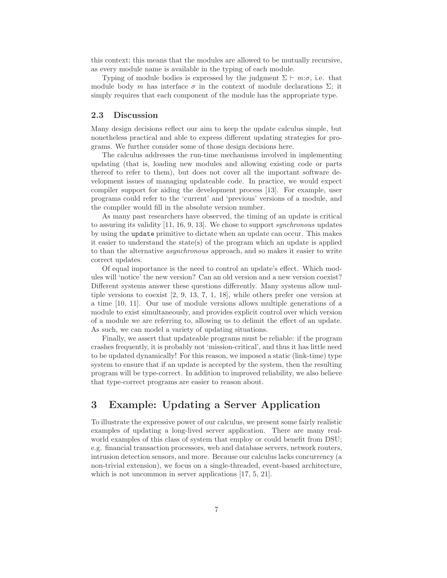this context; this means that the modules are allowed to be mutually recursive, as every module name is available in the typing of each module.

Typing of module bodies is expressed by the judgment  $\Sigma \vdash m:\sigma$ , i.e. that module body *m* has interface  $\sigma$  in the context of module declarations  $\Sigma$ ; it simply requires that each component of the module has the appropriate type.

#### **2.3 Discussion**

Many design decisions reflect our aim to keep the update calculus simple, but nonetheless practical and able to express different updating strategies for programs. We further consider some of those design decisions here.

The calculus addresses the run-time mechanisms involved in implementing updating (that is, loading new modules and allowing existing code or parts thereof to refer to them), but does not cover all the important software development issues of managing updateable code. In practice, we would expect compiler support for aiding the development process [13]. For example, user programs could refer to the 'current' and 'previous' versions of a module, and the compiler would fill in the absolute version number.

As many past researchers have observed, the timing of an update is critical to assuring its validity [11, 16, 9, 13]. We chose to support *synchronous* updates by using the update primitive to dictate when an update can occur. This makes it easier to understand the state(s) of the program which an update is applied to than the alternative *asynchronous* approach, and so makes it easier to write correct updates.

Of equal importance is the need to control an update's effect. Which modules will 'notice' the new version? Can an old version and a new version coexist? Different systems answer these questions differently. Many systems allow multiple versions to coexist [2, 9, 13, 7, 1, 18], while others prefer one version at a time [10, 11]. Our use of module versions allows multiple generations of a module to exist simultaneously, and provides explicit control over which version of a module we are referring to, allowing us to delimit the effect of an update. As such, we can model a variety of updating situations.

Finally, we assert that updateable programs must be reliable: if the program crashes frequently, it is probably not 'mission-critical', and thus it has little need to be updated dynamically! For this reason, we imposed a static (link-time) type system to ensure that if an update is accepted by the system, then the resulting program will be type-correct. In addition to improved reliability, we also believe that type-correct programs are easier to reason about.

# **3 Example: Updating a Server Application**

To illustrate the expressive power of our calculus, we present some fairly realistic examples of updating a long-lived server application. There are many realworld examples of this class of system that employ or could benefit from DSU; e.g. financial transaction processors, web and database servers, network routers, intrusion detection sensors, and more. Because our calculus lacks concurrency (a non-trivial extension), we focus on a single-threaded, event-based architecture, which is not uncommon in server applications [17, 5, 21].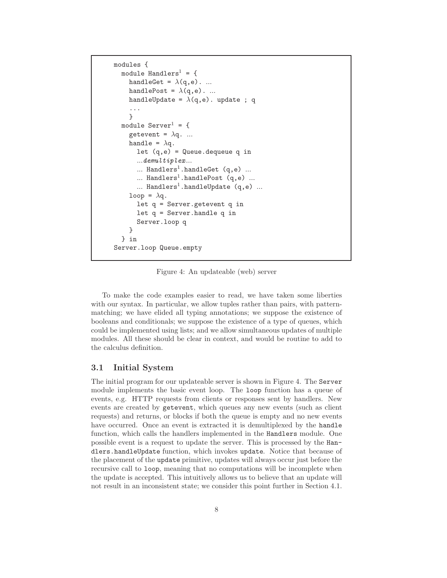```
modules {
  module Handlers<sup>1</sup> = {
     handleGet = \lambda(q,e). ...
     handlePost = \lambda(q,e). ...
     handleUpdate = \lambda(q,e). update ; q
     ...
     }
  module Server^1 = \{getevent = \lambda q. ...
     handle = \lambda q.
       let (q,e) = Queue.dequeue q in
       ...demultiplex...
       \ldots Handlers<sup>1</sup>.handleGet (q,e) \ldots... Handlers<sup>1</sup>.handlePost (q,e) ...
       ... Handlers<sup>1</sup>.handleUpdate (q,e) ...
     loop = \lambda q.
       let q = Server.getevent q in
       let q = Server.handle q in
       Server.loop q
     }
  } in
Server.loop Queue.empty
```
Figure 4: An updateable (web) server

To make the code examples easier to read, we have taken some liberties with our syntax. In particular, we allow tuples rather than pairs, with patternmatching; we have elided all typing annotations; we suppose the existence of booleans and conditionals; we suppose the existence of a type of queues, which could be implemented using lists; and we allow simultaneous updates of multiple modules. All these should be clear in context, and would be routine to add to the calculus definition.

#### **3.1 Initial System**

The initial program for our updateable server is shown in Figure 4. The Server module implements the basic event loop. The loop function has a queue of events, e.g. HTTP requests from clients or responses sent by handlers. New events are created by getevent, which queues any new events (such as client requests) and returns, or blocks if both the queue is empty and no new events have occurred. Once an event is extracted it is demultiplexed by the handle function, which calls the handlers implemented in the Handlers module. One possible event is a request to update the server. This is processed by the Handlers.handleUpdate function, which invokes update. Notice that because of the placement of the update primitive, updates will always occur just before the recursive call to loop, meaning that no computations will be incomplete when the update is accepted. This intuitively allows us to believe that an update will not result in an inconsistent state; we consider this point further in Section 4.1.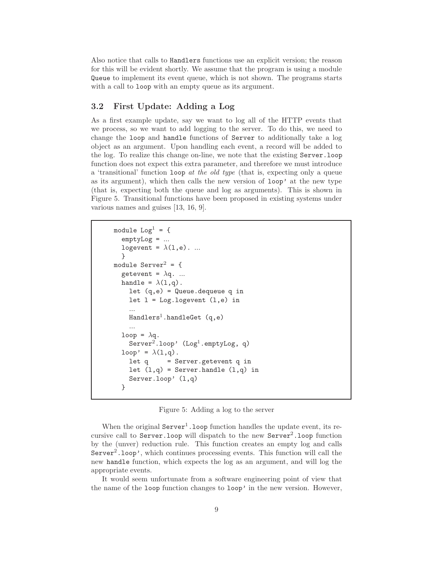Also notice that calls to Handlers functions use an explicit version; the reason for this will be evident shortly. We assume that the program is using a module Queue to implement its event queue, which is not shown. The programs starts with a call to loop with an empty queue as its argument.

### **3.2 First Update: Adding a Log**

As a first example update, say we want to log all of the HTTP events that we process, so we want to add logging to the server. To do this, we need to change the loop and handle functions of Server to additionally take a log object as an argument. Upon handling each event, a record will be added to the log. To realize this change on-line, we note that the existing Server.loop function does not expect this extra parameter, and therefore we must introduce a 'transitional' function loop *at the old type* (that is, expecting only a queue as its argument), which then calls the new version of loop' at the new type (that is, expecting both the queue and log as arguments). This is shown in Figure 5. Transitional functions have been proposed in existing systems under various names and guises [13, 16, 9].

```
module Log<sup>1</sup> = {emptyLog = ...
   logevent = \lambda(1,e). ...
   }
module Server^2 = \{getevent = \lambda q. ...
  handle = \lambda(1,q).
     let (q,e) = Queue.dequeue q in
     let l = Log.logevent (l,e) in
      \texttt{Handlers}^1.\texttt{handleGet} \texttt{(q,e)}loop = \lambdaq.<br>Server<sup>2</sup>
     Server<sup>2</sup>.loop' (Log<sup>1</sup>.emptyLog, q)
   loop' = \lambda(1,q).<br>let q = S
                  = Server.getevent q in
     let (1,q) = Server.handle (1,q) in
     Server.loop' (l,q)
   }
```
Figure 5: Adding a log to the server

When the original  $Server<sup>1</sup>$ . Loop function handles the update event, its recursive call to Server. Loop will dispatch to the new  $Server^2$ . Loop function by the (unver) reduction rule. This function creates an empty log and calls  $Server<sup>2</sup>$ . loop', which continues processing events. This function will call the new handle function, which expects the log as an argument, and will log the appropriate events.

It would seem unfortunate from a software engineering point of view that the name of the loop function changes to loop' in the new version. However,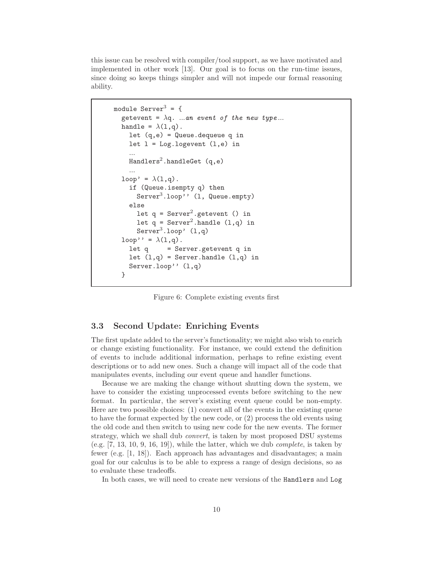this issue can be resolved with compiler/tool support, as we have motivated and implemented in other work [13]. Our goal is to focus on the run-time issues, since doing so keeps things simpler and will not impede our formal reasoning ability.

```
module Server<sup>3</sup> = {
  getevent = \lambda q. ...an event of the new type...
  handle = \lambda(1,q).
    let (q,e) = Queue.dequeue q in
     let l = Log.logevent (l,e) in\texttt{Handlers}^2.\texttt{handleGet} (q,e)
  \text{loop'} = \lambda(1,q).<br>if (Dueue ise
     if (Queue.isempty q) then
       Server<sup>3</sup>.loop' (1, Queue.empty)
     else
       let q = Server^2.getevent() in
       let q = Server^2.handle (1,q) in
       Server3.loop' (1,q)loop'' = \lambda(1,q).<br>let q = Se
                 = Server.getevent q in
     let (l,q) = Server.handle (l,q) in
     Server.loop'' (l,q)
  }
```
Figure 6: Complete existing events first

#### **3.3 Second Update: Enriching Events**

The first update added to the server's functionality; we might also wish to enrich or change existing functionality. For instance, we could extend the definition of events to include additional information, perhaps to refine existing event descriptions or to add new ones. Such a change will impact all of the code that manipulates events, including our event queue and handler functions.

Because we are making the change without shutting down the system, we have to consider the existing unprocessed events before switching to the new format. In particular, the server's existing event queue could be non-empty. Here are two possible choices: (1) convert all of the events in the existing queue to have the format expected by the new code, or (2) process the old events using the old code and then switch to using new code for the new events. The former strategy, which we shall dub *convert*, is taken by most proposed DSU systems (e.g. [7, 13, 10, 9, 16, 19]), while the latter, which we dub *complete*, is taken by fewer (e.g. [1, 18]). Each approach has advantages and disadvantages; a main goal for our calculus is to be able to express a range of design decisions, so as to evaluate these tradeoffs.

In both cases, we will need to create new versions of the Handlers and Log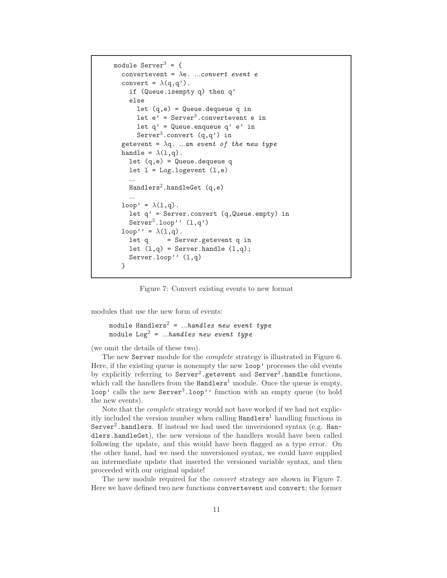```
module Server^3 = \{convertevent = λe. ...convert event e
  convert = \lambda(q,q').
     if (Queue.isempty q) then q'
    else
       let (q,e) = Queue.dequeue q in
       let e' = Server<sup>3</sup>. convertevent e in
       let q' = Queue. enqueue q' e' in
       Server<sup>3</sup>.convert (q,q') in
  getevent = \lambda q. ...an event of the new type
  handle = \lambda(1,q).
     let (q,e) = Queue.dequeue q
    let l = Log.logevent (l,e)...<br>Handlers^2.handleGet (q,e)
   \log' = \lambda(1, q).<br>let a' = \text{Serv}let q' = Server.convert (q, Queue.empty) in
    Server<sup>3</sup>.loop'' (1,q')loop' = \lambda(1,q).<br>let q = Se:
                = Server.getevent q in
     let (1,q) = Server.handle (1,q);
     Server.loop'' (l,q)
  }
```
Figure 7: Convert existing events to new format

modules that use the new form of events:

```
module Handlers2 = ...handles new event type
module Log2 = ...handles new event type
```
(we omit the details of these two).

The new Server module for the *complete* strategy is illustrated in Figure 6. Here, if the existing queue is nonempty the new loop' processes the old events by explicitly referring to  $Server^2$  getevent and  $Server^2$  handle functions, which call the handlers from the  $Handlers<sup>1</sup>$  module. Once the queue is empty, loop' calls the new Server<sup>3</sup>.loop'' function with an empty queue (to hold the new events).

Note that the *complete* strategy would not have worked if we had not explicitly included the version number when calling  $Handlers<sup>1</sup>$  handling functions in Server<sup>2</sup>.handlers. If instead we had used the unversioned syntax (e.g. Handlers.handleGet), the new versions of the handlers would have been called following the update, and this would have been flagged as a type error. On the other hand, had we used the unversioned syntax, we could have supplied an intermediate update that inserted the versioned variable syntax, and then proceeded with our original update!

The new module required for the *convert* strategy are shown in Figure 7. Here we have defined two new functions convertevent and convert; the former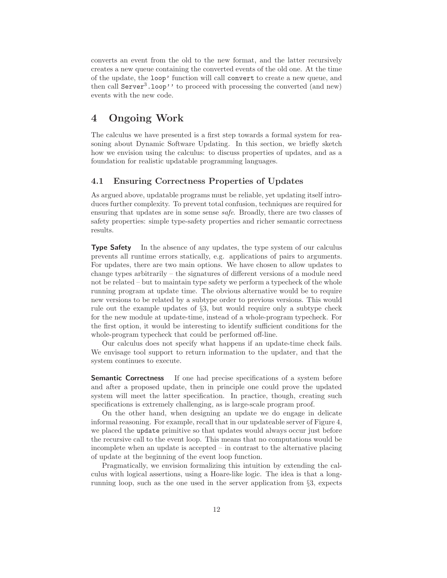converts an event from the old to the new format, and the latter recursively creates a new queue containing the converted events of the old one. At the time of the update, the loop' function will call convert to create a new queue, and then call  $Server<sup>3</sup>$ . loop'' to proceed with processing the converted (and new) events with the new code.

# **4 Ongoing Work**

The calculus we have presented is a first step towards a formal system for reasoning about Dynamic Software Updating. In this section, we briefly sketch how we envision using the calculus: to discuss properties of updates, and as a foundation for realistic updatable programming languages.

#### **4.1 Ensuring Correctness Properties of Updates**

As argued above, updatable programs must be reliable, yet updating itself introduces further complexity. To prevent total confusion, techniques are required for ensuring that updates are in some sense *safe*. Broadly, there are two classes of safety properties: simple type-safety properties and richer semantic correctness results.

**Type Safety** In the absence of any updates, the type system of our calculus prevents all runtime errors statically, e.g. applications of pairs to arguments. For updates, there are two main options. We have chosen to allow updates to change types arbitrarily – the signatures of different versions of a module need not be related – but to maintain type safety we perform a typecheck of the whole running program at update time. The obvious alternative would be to require new versions to be related by a subtype order to previous versions. This would rule out the example updates of §3, but would require only a subtype check for the new module at update-time, instead of a whole-program typecheck. For the first option, it would be interesting to identify sufficient conditions for the whole-program typecheck that could be performed off-line.

Our calculus does not specify what happens if an update-time check fails. We envisage tool support to return information to the updater, and that the system continues to execute.

**Semantic Correctness** If one had precise specifications of a system before and after a proposed update, then in principle one could prove the updated system will meet the latter specification. In practice, though, creating such specifications is extremely challenging, as is large-scale program proof.

On the other hand, when designing an update we do engage in delicate informal reasoning. For example, recall that in our updateable server of Figure 4, we placed the update primitive so that updates would always occur just before the recursive call to the event loop. This means that no computations would be incomplete when an update is accepted – in contrast to the alternative placing of update at the beginning of the event loop function.

Pragmatically, we envision formalizing this intuition by extending the calculus with logical assertions, using a Hoare-like logic. The idea is that a longrunning loop, such as the one used in the server application from §3, expects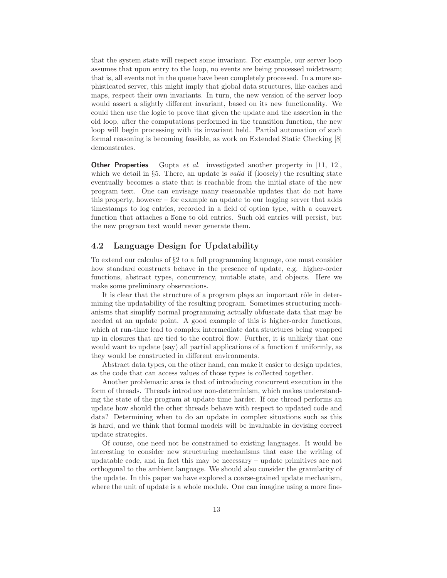that the system state will respect some invariant. For example, our server loop assumes that upon entry to the loop, no events are being processed midstream; that is, all events not in the queue have been completely processed. In a more sophisticated server, this might imply that global data structures, like caches and maps, respect their own invariants. In turn, the new version of the server loop would assert a slightly different invariant, based on its new functionality. We could then use the logic to prove that given the update and the assertion in the old loop, after the computations performed in the transition function, the new loop will begin processing with its invariant held. Partial automation of such formal reasoning is becoming feasible, as work on Extended Static Checking [8] demonstrates.

**Other Properties** Gupta *et al.* investigated another property in [11, 12], which we detail in §5. There, an update is *valid* if (loosely) the resulting state eventually becomes a state that is reachable from the initial state of the new program text. One can envisage many reasonable updates that do not have this property, however – for example an update to our logging server that adds timestamps to log entries, recorded in a field of option type, with a convert function that attaches a None to old entries. Such old entries will persist, but the new program text would never generate them.

#### **4.2 Language Design for Updatability**

To extend our calculus of §2 to a full programming language, one must consider how standard constructs behave in the presence of update, e.g. higher-order functions, abstract types, concurrency, mutable state, and objects. Here we make some preliminary observations.

It is clear that the structure of a program plays an important rôle in determining the updatability of the resulting program. Sometimes structuring mechanisms that simplify normal programming actually obfuscate data that may be needed at an update point. A good example of this is higher-order functions, which at run-time lead to complex intermediate data structures being wrapped up in closures that are tied to the control flow. Further, it is unlikely that one would want to update (say) all partial applications of a function f uniformly, as they would be constructed in different environments.

Abstract data types, on the other hand, can make it easier to design updates, as the code that can access values of those types is collected together.

Another problematic area is that of introducing concurrent execution in the form of threads. Threads introduce non-determinism, which makes understanding the state of the program at update time harder. If one thread performs an update how should the other threads behave with respect to updated code and data? Determining when to do an update in complex situations such as this is hard, and we think that formal models will be invaluable in devising correct update strategies.

Of course, one need not be constrained to existing languages. It would be interesting to consider new structuring mechanisms that ease the writing of updatable code, and in fact this may be necessary – update primitives are not orthogonal to the ambient language. We should also consider the granularity of the update. In this paper we have explored a coarse-grained update mechanism, where the unit of update is a whole module. One can imagine using a more fine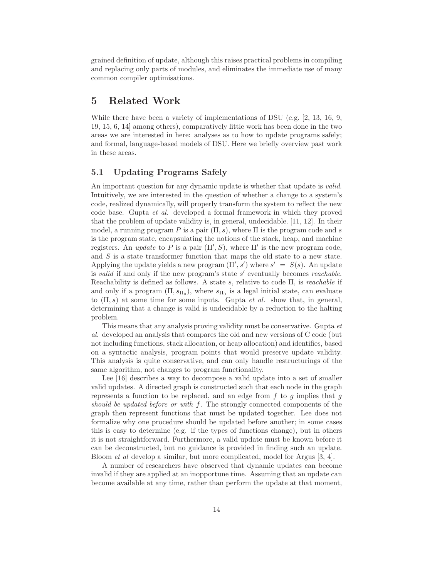grained definition of update, although this raises practical problems in compiling and replacing only parts of modules, and eliminates the immediate use of many common compiler optimisations.

### **5 Related Work**

While there have been a variety of implementations of DSU (e.g. [2, 13, 16, 9, 19, 15, 6, 14] among others), comparatively little work has been done in the two areas we are interested in here: analyses as to how to update programs safely; and formal, language-based models of DSU. Here we briefly overview past work in these areas.

### **5.1 Updating Programs Safely**

An important question for any dynamic update is whether that update is *valid*. Intuitively, we are interested in the question of whether a change to a system's code, realized dynamically, will properly transform the system to reflect the new code base. Gupta *et al.* developed a formal framework in which they proved that the problem of update validity is, in general, undecidable. [11, 12]. In their model, a running program P is a pair  $(\Pi, s)$ , where  $\Pi$  is the program code and s is the program state, encapsulating the notions of the stack, heap, and machine registers. An *update* to P is a pair  $(\Pi', S)$ , where  $\Pi'$  is the new program code,<br>and S is a state transformer function that maps the old state to a new state and S is a state transformer function that maps the old state to a new state. Applying the update yields a new program  $(\Pi', s')$  where  $s' = S(s)$ . An update is valid if and only if the new program's state  $s'$  eventually becomes reachable is *valid* if and only if the new program's state s' eventually becomes *reachable*. Reachability is defined as follows. A state s, relative to code Π, is *reachable* if and only if a program  $(\Pi, s_{\Pi_0})$ , where  $s_{\Pi_0}$  is a legal initial state, can evaluate to  $(\Pi, s)$  at some time for some inputs. Gupta *et al.* show that, in general, determining that a change is valid is undecidable by a reduction to the halting problem.

This means that any analysis proving validity must be conservative. Gupta *et al.* developed an analysis that compares the old and new versions of C code (but not including functions, stack allocation, or heap allocation) and identifies, based on a syntactic analysis, program points that would preserve update validity. This analysis is quite conservative, and can only handle restructurings of the same algorithm, not changes to program functionality.

Lee [16] describes a way to decompose a valid update into a set of smaller valid updates. A directed graph is constructed such that each node in the graph represents a function to be replaced, and an edge from  $f$  to  $g$  implies that  $g$ *should be updated before or with* f. The strongly connected components of the graph then represent functions that must be updated together. Lee does not formalize why one procedure should be updated before another; in some cases this is easy to determine (e.g. if the types of functions change), but in others it is not straightforward. Furthermore, a valid update must be known before it can be deconstructed, but no guidance is provided in finding such an update. Bloom *et al* develop a similar, but more complicated, model for Argus [3, 4].

A number of researchers have observed that dynamic updates can become invalid if they are applied at an inopportune time. Assuming that an update can become available at any time, rather than perform the update at that moment,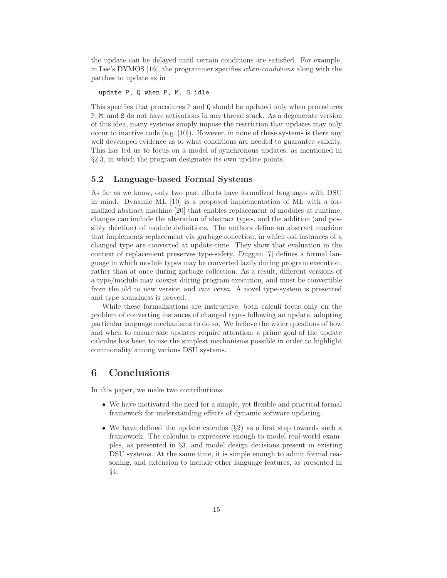the update can be delayed until certain conditions are satisfied. For example, in Lee's DYMOS [16], the programmer specifies *when-conditions* along with the patches to update as in

update P, Q when P, M, S idle

This specifies that procedures P and Q should be updated only when procedures P, M, and S do not have activations in any thread stack. As a degenerate version of this idea, many systems simply impose the restriction that updates may only occur to inactive code (e.g. [10]). However, in none of these systems is there any well developed evidence as to what conditions are needed to guarantee validity. This has led us to focus on a model of synchronous updates, as mentioned in §2.3, in which the program designates its own update points.

#### **5.2 Language-based Formal Systems**

As far as we know, only two past efforts have formalized languages with DSU in mind. Dynamic ML [10] is a proposed implementation of ML with a formalized abstract machine [20] that enables replacement of modules at runtime; changes can include the alteration of abstract types, and the addition (and possibly deletion) of module definitions. The authors define an abstract machine that implements replacement via garbage collection, in which old instances of a changed type are converted at update-time. They show that evaluation in the context of replacement preserves type-safety. Duggan [7] defines a formal language in which module types may be converted lazily during program execution, rather than at once during garbage collection. As a result, different versions of a type/module may coexist during program execution, and must be convertible from the old to new version and *vice versa*. A novel type-system is presented and type soundness is proved.

While these formalizations are instructive, both calculi focus only on the problem of converting instances of changed types following an update, adopting particular language mechanisms to do so. We believe the wider questions of how and when to ensure safe updates require attention; a prime goal of the update calculus has been to use the simplest mechanisms possible in order to highlight commonality among various DSU systems.

# **6 Conclusions**

In this paper, we make two contributions:

- We have motivated the need for a simple, yet flexible and practical formal framework for understanding effects of dynamic software updating.
- We have defined the update calculus  $(\S2)$  as a first step towards such a framework. The calculus is expressive enough to model real-world examples, as presented in §3, and model design decisions present in existing DSU systems. At the same time, it is simple enough to admit formal reasoning, and extension to include other language features, as presented in §4.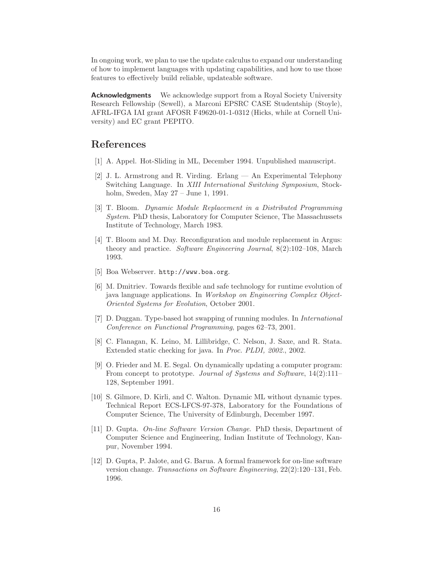In ongoing work, we plan to use the update calculus to expand our understanding of how to implement languages with updating capabilities, and how to use those features to effectively build reliable, updateable software.

**Acknowledgments** We acknowledge support from a Royal Society University Research Fellowship (Sewell), a Marconi EPSRC CASE Studentship (Stoyle), AFRL-IFGA IAI grant AFOSR F49620-01-1-0312 (Hicks, while at Cornell University) and EC grant PEPITO.

# **References**

- [1] A. Appel. Hot-Sliding in ML, December 1994. Unpublished manuscript.
- [2] J. L. Armstrong and R. Virding. Erlang An Experimental Telephony Switching Language. In *XIII International Switching Symposium*, Stockholm, Sweden, May 27 – June 1, 1991.
- [3] T. Bloom. *Dynamic Module Replacement in a Distributed Programming System*. PhD thesis, Laboratory for Computer Science, The Massachussets Institute of Technology, March 1983.
- [4] T. Bloom and M. Day. Reconfiguration and module replacement in Argus: theory and practice. *Software Engineering Journal*, 8(2):102–108, March 1993.
- [5] Boa Webserver. http://www.boa.org.
- [6] M. Dmitriev. Towards flexible and safe technology for runtime evolution of java language applications. In *Workshop on Engineering Complex Object-Oriented Systems for Evolution*, October 2001.
- [7] D. Duggan. Type-based hot swapping of running modules. In *International Conference on Functional Programming*, pages 62–73, 2001.
- [8] C. Flanagan, K. Leino, M. Lillibridge, C. Nelson, J. Saxe, and R. Stata. Extended static checking for java. In *Proc. PLDI, 2002.*, 2002.
- [9] O. Frieder and M. E. Segal. On dynamically updating a computer program: From concept to prototype. *Journal of Systems and Software*, 14(2):111– 128, September 1991.
- [10] S. Gilmore, D. Kirli, and C. Walton. Dynamic ML without dynamic types. Technical Report ECS-LFCS-97-378, Laboratory for the Foundations of Computer Science, The University of Edinburgh, December 1997.
- [11] D. Gupta. *On-line Software Version Change*. PhD thesis, Department of Computer Science and Engineering, Indian Institute of Technology, Kanpur, November 1994.
- [12] D. Gupta, P. Jalote, and G. Barua. A formal framework for on-line software version change. *Transactions on Software Engineering*, 22(2):120–131, Feb. 1996.